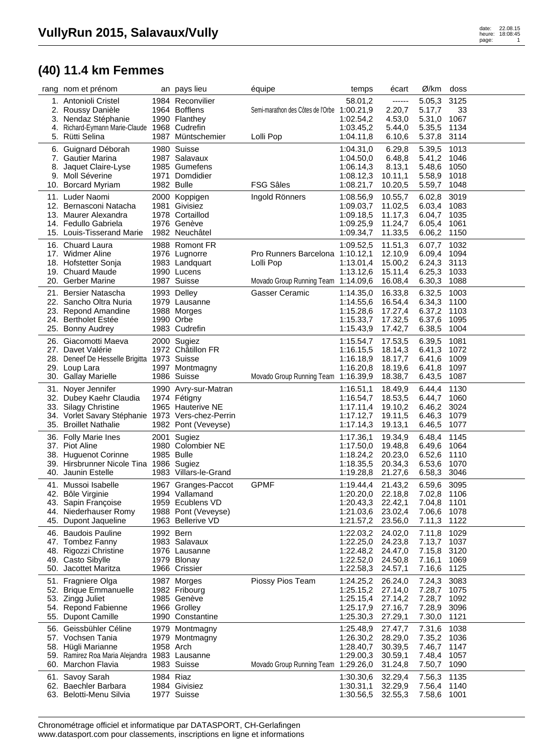## **(40) 11.4 km Femmes**

|     | rang nom et prénom                                                  |            | an pays lieu                             | équipe                                      | temps                  | écart              | Ø/km             | doss         |  |
|-----|---------------------------------------------------------------------|------------|------------------------------------------|---------------------------------------------|------------------------|--------------------|------------------|--------------|--|
|     | 1. Antonioli Cristel                                                |            | 1984 Reconvilier<br>1964 Bofflens        |                                             | 58.01,2                | ------             | 5.05,3<br>5.17,7 | 3125<br>33   |  |
|     | 2. Roussy Danièle<br>3. Nendaz Stéphanie                            |            | 1990 Flanthey                            | Semi-marathon des Côtes de l'Orbe 1:00.21,9 | 1:02.54,2              | 2.20,7<br>4.53,0   | 5.31,0           | 1067         |  |
| 4.  | Richard-Eymann Marie-Claude 1968 Cudrefin                           |            |                                          |                                             | 1:03.45,2              | 5.44,0             | 5.35,5           | 1134         |  |
|     | 5. Rütti Selina                                                     |            | 1987 Müntschemier                        | Lolli Pop                                   | 1:04.11,8              | 6.10,6             | 5.37,8           | 3114         |  |
| 6.  | Guignard Déborah                                                    |            | 1980 Suisse                              |                                             | 1:04.31,0              | 6.29,8             | 5.39,5           | 1013         |  |
|     | 7. Gautier Marina                                                   |            | 1987 Salavaux                            |                                             | 1:04.50,0              | 6.48,8             | 5.41,2           | 1046         |  |
|     | 8. Jaquet Claire-Lyse                                               |            | 1985 Gumefens                            |                                             | 1:06.14,3              | 8.13,1             | 5.48,6           | 1050         |  |
|     | 9. Moll Séverine                                                    |            | 1971 Domdidier                           |                                             | 1:08.12,3              | 10.11,1            | 5.58,9           | 1018         |  |
|     | 10. Borcard Myriam                                                  | 1982 Bulle |                                          | <b>FSG Sâles</b>                            | 1:08.21,7              | 10.20,5            | 5.59,7           | 1048         |  |
|     | 11. Luder Naomi                                                     |            | 2000 Koppigen                            | Ingold Rönners                              | 1:08.56,9              | 10.55,7            | 6.02,8           | 3019         |  |
|     | 12. Bernasconi Natacha                                              |            | 1981 Givisiez                            |                                             | 1:09.03,7              | 11.02,5            | 6.03,4           | 1083         |  |
|     | 13. Maurer Alexandra                                                |            | 1978 Cortaillod                          |                                             | 1:09.18,5              | 11.17,3            | 6.04,7           | 1035         |  |
|     | 14. Fedullo Gabriela<br>15. Louis-Tisserand Marie                   |            | 1976 Genève<br>1982 Neuchâtel            |                                             | 1:09.25,9<br>1:09.34,7 | 11.24,7<br>11.33,5 | 6.05,4<br>6.06,2 | 1061<br>1150 |  |
|     |                                                                     |            |                                          |                                             |                        |                    |                  |              |  |
|     | 16. Chuard Laura<br>17. Widmer Aline                                |            | 1988 Romont FR<br>1976 Lugnorre          | Pro Runners Barcelona 1:10.12,1             | 1:09.52,5              | 11.51,3<br>12.10,9 | 6.07,7<br>6.09,4 | 1032<br>1094 |  |
|     | 18. Hofstetter Sonja                                                |            | 1983 Landquart                           | Lolli Pop                                   | 1:13.01,4              | 15.00,2            | 6.24,3           | 3113         |  |
|     | 19. Chuard Maude                                                    |            | 1990 Lucens                              |                                             | 1:13.12,6              | 15.11,4            | 6.25,3           | 1033         |  |
|     | 20. Gerber Marine                                                   |            | 1987 Suisse                              | Movado Group Running Team 1:14.09,6         |                        | 16.08,4            | 6.30,3           | 1088         |  |
|     | 21. Bersier Natascha                                                |            | 1993 Delley                              | <b>Gasser Ceramic</b>                       | 1:14.35,0              | 16.33,8            | 6.32,5           | 1003         |  |
|     | 22. Sancho Oltra Nuria                                              |            | 1979 Lausanne                            |                                             | 1:14.55,6              | 16.54,4            | 6.34,3           | 1100         |  |
| 23. | <b>Repond Amandine</b>                                              |            | 1988 Morges                              |                                             | 1:15.28,6              | 17.27,4            | 6.37,2           | 1103         |  |
|     | 24. Bertholet Estée                                                 | 1990 Orbe  |                                          |                                             | 1:15.33,7              | 17.32,5            | 6.37,6           | 1095         |  |
|     | 25. Bonny Audrey                                                    |            | 1983 Cudrefin                            |                                             | 1:15.43,9              | 17.42,7            | 6.38,5           | 1004         |  |
|     | 26. Giacomotti Maeva                                                |            | 2000 Sugiez                              |                                             | 1:15.54,7              | 17.53,5            | 6.39,5           | 1081         |  |
|     | 27. Davet Valérie                                                   |            | 1972 Châtillon FR                        |                                             | 1:16.15,5              | 18.14,3            | 6.41,3           | 1072         |  |
|     | 28. Deneef De Hesselle Brigitta 1973 Suisse                         |            |                                          |                                             | 1:16.18,9              | 18.17,7            | 6.41,6           | 1009         |  |
|     | 29. Loup Lara<br>30. Gallay Marielle                                |            | 1997 Montmagny<br>1986 Suisse            | Movado Group Running Team 1:16.39,9         | 1:16.20,8              | 18.19,6<br>18.38,7 | 6.41,8<br>6.43,5 | 1097<br>1087 |  |
|     |                                                                     |            |                                          |                                             |                        |                    |                  |              |  |
|     | 31. Noyer Jennifer<br>32. Dubey Kaehr Claudia                       |            | 1990 Avry-sur-Matran<br>1974 Fétigny     |                                             | 1:16.51,1<br>1:16.54,7 | 18.49,9<br>18.53,5 | 6.44,4<br>6.44,7 | 1130<br>1060 |  |
|     | 33. Silagy Christine                                                |            | 1965 Hauterive NE                        |                                             | 1:17.11,4              | 19.10,2            | 6.46,2           | 3024         |  |
|     | 34. Vorlet Savary Stéphanie 1973 Vers-chez-Perrin                   |            |                                          |                                             | 1:17.12,7              | 19.11,5            | 6.46,3           | 1079         |  |
|     | 35. Broillet Nathalie                                               |            | 1982 Pont (Veveyse)                      |                                             | 1:17.14,3              | 19.13,1            | 6.46,5           | 1077         |  |
|     | 36. Folly Marie Ines                                                |            | 2001 Sugiez                              |                                             | 1:17.36,1              | 19.34,9            | 6.48,4           | 1145         |  |
|     | 37. Piot Aline                                                      |            | 1980 Colombier NE                        |                                             | 1:17.50,0              | 19.48,8            | 6.49,6           | 1064         |  |
|     | 38. Huguenot Corinne                                                | 1985 Bulle |                                          |                                             | 1:18.24,2              | 20.23,0            | 6.52,6           | 1110         |  |
|     | 39. Hirsbrunner Nicole Tina 1986 Sugiez                             |            |                                          |                                             | 1:18.35,5              | 20.34,3            | 6.53,6           | 1070         |  |
|     | 40. Jaunin Estelle                                                  |            | 1983 Villars-le-Grand                    |                                             | 1:19.28,8              | 21.27,6            | 6.58,3           | 3046         |  |
|     | 41. Mussoi Isabelle                                                 |            | 1967 Granges-Paccot                      | <b>GPMF</b>                                 | 1:19.44,4 21.43,2      |                    | 6.59,6 3095      |              |  |
|     | 42. Bôle Virginie                                                   |            | 1994 Vallamand                           |                                             | 1:20.20,0 22.18,8      |                    | 7.02,8 1106      |              |  |
|     | 43. Sapin Françoise<br>44. Niederhauser Romy                        |            | 1959 Ecublens VD                         |                                             | 1:20.43,3              | 22.42,1            | 7.04,8 1101      |              |  |
|     | 45. Dupont Jaqueline                                                |            | 1988 Pont (Veveyse)<br>1963 Bellerive VD |                                             | 1:21.03,6<br>1:21.57,2 | 23.02,4<br>23.56,0 | 7.06,6<br>7.11,3 | 1078<br>1122 |  |
|     | 46. Baudois Pauline                                                 | 1992 Bern  |                                          |                                             |                        |                    |                  |              |  |
|     | 47. Tombez Fanny                                                    |            | 1983 Salavaux                            |                                             | 1:22.03,2<br>1:22.25,0 | 24.02,0<br>24.23,8 | 7.11,8<br>7.13,7 | 1029<br>1037 |  |
|     | 48. Rigozzi Christine                                               |            | 1976 Lausanne                            |                                             | 1:22.48,2              | 24.47,0            | 7.15,8           | 3120         |  |
|     | 49. Casto Sibylle                                                   |            | 1979 Blonay                              |                                             | 1:22.52,0              | 24.50,8            | 7.16,1           | 1069         |  |
|     | 50. Jacottet Maritza                                                |            | 1966 Crissier                            |                                             | 1:22.58,3              | 24.57,1            | 7.16,6           | 1125         |  |
| 51. | Fragniere Olga                                                      |            | 1987 Morges                              | Piossy Pios Team                            | 1:24.25,2              | 26.24,0            | 7.24,3           | 3083         |  |
|     | 52. Brique Emmanuelle                                               |            | 1982 Fribourg                            |                                             | 1:25.15,2              | 27.14,0            | 7.28,7           | 1075         |  |
|     | 53. Zingg Juliet                                                    |            | 1985 Genève                              |                                             | 1:25.15,4              | 27.14,2            | 7.28,7           | 1092         |  |
|     | 54. Repond Fabienne                                                 |            | 1966 Grolley                             |                                             | 1:25.17,9              | 27.16,7            | 7.28,9           | 3096         |  |
|     | 55. Dupont Camille                                                  |            | 1990 Constantine                         |                                             | 1:25.30,3              | 27.29,1            | 7.30,0           | 1121         |  |
|     | 56. Geissbühler Céline                                              |            | 1979 Montmagny                           |                                             | 1:25.48,9              | 27.47,7            | 7.31,6           | 1038         |  |
|     | 57. Vochsen Tania                                                   | 1958 Arch  | 1979 Montmagny                           |                                             | 1:26.30,2<br>1:28.40,7 | 28.29,0<br>30.39,5 | 7.35,2           | 1036<br>1147 |  |
|     | 58. Hügli Marianne<br>59. Ramirez Roa Maria Alejandra 1983 Lausanne |            |                                          |                                             | 1:29.00,3              | 30.59,1            | 7.46,7<br>7.48,4 | 1057         |  |
|     | 60. Marchon Flavia                                                  |            | 1983 Suisse                              | Movado Group Running Team 1:29.26,0         |                        | 31.24,8            | 7.50,7           | 1090         |  |
|     | 61. Savoy Sarah                                                     | 1984 Riaz  |                                          |                                             | 1:30.30,6              | 32.29,4            | 7.56,3           | 1135         |  |
|     | 62. Baechler Barbara                                                |            | 1984 Givisiez                            |                                             | 1:30.31,1              | 32.29,9            | 7.56,4           | 1140         |  |
|     | 63. Belotti-Menu Silvia                                             |            | 1977 Suisse                              |                                             | 1:30.56,5              | 32.55,3            | 7.58,6           | 1001         |  |
|     |                                                                     |            |                                          |                                             |                        |                    |                  |              |  |

Chronométrage officiel et informatique par DATASPORT, CH-Gerlafingen www.datasport.com pour classements, inscriptions en ligne et informations